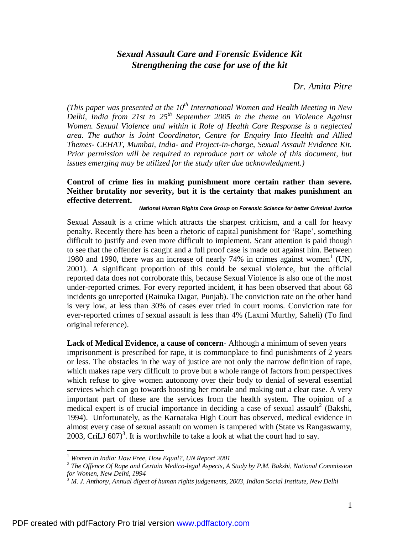## *Sexual Assault Care and Forensic Evidence Kit Strengthening the case for use of the kit*

## *Dr. Amita Pitre*

*(This paper was presented at the 10th International Women and Health Meeting in New Delhi, India from 21st to 25th September 2005 in the theme on Violence Against Women. Sexual Violence and within it Role of Health Care Response is a neglected area. The author is Joint Coordinator, Centre for Enquiry Into Health and Allied Themes- CEHAT, Mumbai, India- and Project-in-charge, Sexual Assault Evidence Kit. Prior permission will be required to reproduce part or whole of this document, but issues emerging may be utilized for the study after due acknowledgment.)* 

## **Control of crime lies in making punishment more certain rather than severe. Neither brutality nor severity, but it is the certainty that makes punishment an effective deterrent.**

## *National Human Rights Core Group on Forensic Science for better Criminal Justice*

Sexual Assault is a crime which attracts the sharpest criticism, and a call for heavy penalty. Recently there has been a rhetoric of capital punishment for 'Rape', something difficult to justify and even more difficult to implement. Scant attention is paid though to see that the offender is caught and a full proof case is made out against him. Between 1980 and 1990, there was an increase of nearly 74% in crimes against women 1 (UN, 2001). A significant proportion of this could be sexual violence, but the official reported data does not corroborate this, because Sexual Violence is also one of the most under-reported crimes. For every reported incident, it has been observed that about 68 incidents go unreported (Rainuka Dagar, Punjab). The conviction rate on the other hand is very low, at less than 30% of cases ever tried in court rooms. Conviction rate for ever-reported crimes of sexual assault is less than 4% (Laxmi Murthy, Saheli) (To find original reference).

**Lack of Medical Evidence, a cause of concern**- Although a minimum of seven years imprisonment is prescribed for rape, it is commonplace to find punishments of 2 years or less. The obstacles in the way of justice are not only the narrow definition of rape, which makes rape very difficult to prove but a whole range of factors from perspectives which refuse to give women autonomy over their body to denial of several essential services which can go towards boosting her morale and making out a clear case. A very important part of these are the services from the health system. The opinion of a medical expert is of crucial importance in deciding a case of sexual assault<sup>2</sup> (Bakshi, 1994). Unfortunately, as the Karnataka High Court has observed, medical evidence in almost every case of sexual assault on women is tampered with (State vs Rangaswamy, 2003, CriLJ  $607)^3$ . It is worthwhile to take a look at what the court had to say.

1

<sup>1</sup> *Women in India: How Free, How Equal?, UN Report 2001* 

*<sup>2</sup> The Offence Of Rape and Certain Medico-legal Aspects, A Study by P.M. Bakshi, National Commission for Women, New Delhi, 1994* 

*<sup>3</sup> M. J. Anthony, Annual digest of human rights judgements, 2003, Indian Social Institute, New Delhi*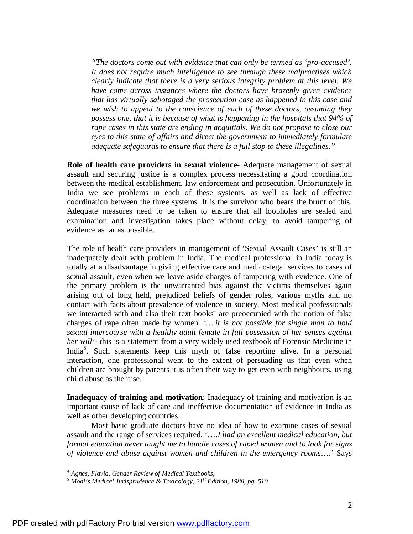*"The doctors come out with evidence that can only be termed as 'pro-accused'. It does not require much intelligence to see through these malpractises which clearly indicate that there is a very serious integrity problem at this level. We have come across instances where the doctors have brazenly given evidence that has virtually sabotaged the prosecution case as happened in this case and we wish to appeal to the conscience of each of these doctors, assuming they possess one, that it is because of what is happening in the hospitals that 94% of rape cases in this state are ending in acquittals. We do not propose to close our eyes to this state of affairs and direct the government to immediately formulate adequate safeguards to ensure that there is a full stop to these illegalities."* 

**Role of health care providers in sexual violence**- Adequate management of sexual assault and securing justice is a complex process necessitating a good coordination between the medical establishment, law enforcement and prosecution. Unfortunately in India we see problems in each of these systems, as well as lack of effective coordination between the three systems. It is the survivor who bears the brunt of this. Adequate measures need to be taken to ensure that all loopholes are sealed and examination and investigation takes place without delay, to avoid tampering of evidence as far as possible.

The role of health care providers in management of 'Sexual Assault Cases' is still an inadequately dealt with problem in India. The medical professional in India today is totally at a disadvantage in giving effective care and medico-legal services to cases of sexual assault, even when we leave aside charges of tampering with evidence. One of the primary problem is the unwarranted bias against the victims themselves again arising out of long held, prejudiced beliefs of gender roles, various myths and no contact with facts about prevalence of violence in society. Most medical professionals we interacted with and also their text books $4$  are preoccupied with the notion of false charges of rape often made by women. *'….it is not possible for single man to hold sexual intercourse with a healthy adult female in full possession of her senses against her will'- t*his is a statement from a very widely used textbook of Forensic Medicine in India<sup>5</sup>. Such statements keep this myth of false reporting alive. In a personal interaction, one professional went to the extent of persuading us that even when children are brought by parents it is often their way to get even with neighbours, using child abuse as the ruse.

**Inadequacy of training and motivation**: Inadequacy of training and motivation is an important cause of lack of care and ineffective documentation of evidence in India as well as other developing countries.

Most basic graduate doctors have no idea of how to examine cases of sexual assault and the range of services required. '….*I had an excellent medical education, but formal education never taught me to handle cases of raped women and to look for signs of violence and abuse against women and children in the emergency rooms*….' Says

<u>.</u>

*<sup>4</sup> Agnes, Flavia, Gender Review of Medical Textbooks,* 

*<sup>5</sup> Modi's Medical Jurisprudence & Toxicology, 21st Edition, 1988, pg. 510*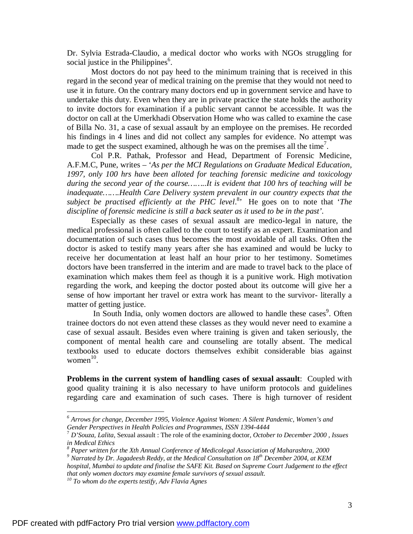Dr. Sylvia Estrada-Claudio, a medical doctor who works with NGOs struggling for social justice in the Philippines<sup>6</sup>.

Most doctors do not pay heed to the minimum training that is received in this regard in the second year of medical training on the premise that they would not need to use it in future. On the contrary many doctors end up in government service and have to undertake this duty. Even when they are in private practice the state holds the authority to invite doctors for examination if a public servant cannot be accessible. It was the doctor on call at the Umerkhadi Observation Home who was called to examine the case of Billa No. 31, a case of sexual assault by an employee on the premises. He recorded his findings in 4 lines and did not collect any samples for evidence. No attempt was made to get the suspect examined, although he was on the premises all the time<sup>7</sup>.

Col P.R. Pathak, Professor and Head, Department of Forensic Medicine, A.F.M.C, Pune, writes – '*As per the MCI Regulations on Graduate Medical Education, 1997, only 100 hrs have been alloted for teaching forensic medicine and toxicology during the second year of the course……..It is evident that 100 hrs of teaching will be inadequate…….Health Care Delivery system prevalent in our country expects that the subject be practised efficiently at the PHC level*. 8 ' He goes on to note that '*The discipline of forensic medicine is still a back seater as it used to be in the past'.*

Especially as these cases of sexual assault are medico-legal in nature, the medical professional is often called to the court to testify as an expert. Examination and documentation of such cases thus becomes the most avoidable of all tasks. Often the doctor is asked to testify many years after she has examined and would be lucky to receive her documentation at least half an hour prior to her testimony. Sometimes doctors have been transferred in the interim and are made to travel back to the place of examination which makes them feel as though it is a punitive work. High motivation regarding the work, and keeping the doctor posted about its outcome will give her a sense of how important her travel or extra work has meant to the survivor- literally a matter of getting justice.

In South India, only women doctors are allowed to handle these cases<sup>9</sup>. Often trainee doctors do not even attend these classes as they would never need to examine a case of sexual assault. Besides even where training is given and taken seriously, the component of mental health care and counseling are totally absent. The medical textbooks used to educate doctors themselves exhibit considerable bias against  $women<sup>10</sup>$ .

**Problems in the current system of handling cases of sexual assault**: Coupled with good quality training it is also necessary to have uniform protocols and guidelines regarding care and examination of such cases. There is high turnover of resident

*hospital, Mumbai to update and finalise the SAFE Kit. Based on Supreme Court Judgement to the effect that only women doctors may examine female survivors of sexual assault.* 

<u>.</u>

*<sup>6</sup> Arrows for change, December 1995, Violence Against Women: A Silent Pandemic, Women's and Gender Perspectives in Health Policies and Programmes, ISSN 1394-4444* 

<sup>7</sup> *D'Souza, Lalita,* Sexual assault : The role of the examining doctor, *October to December 2000 , Issues in Medical Ethics* 

*<sup>8</sup> Paper written for the Xth Annual Conference of Medicolegal Association of Maharashtra, 2000 <sup>9</sup> Narrated by Dr. Jagadeesh Reddy, at the Medical Consultation on 18th December 2004, at KEM* 

*<sup>10</sup> To whom do the experts testify, Adv Flavia Agnes*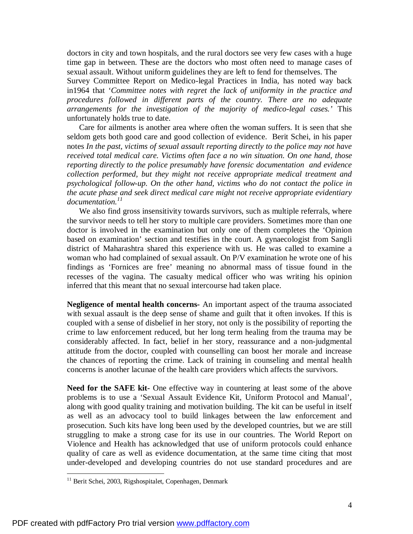doctors in city and town hospitals, and the rural doctors see very few cases with a huge time gap in between. These are the doctors who most often need to manage cases of sexual assault. Without uniform guidelines they are left to fend for themselves. The

Survey Committee Report on Medico-legal Practices in India, has noted way back in1964 that '*Committee notes with regret the lack of uniformity in the practice and procedures followed in different parts of the country. There are no adequate arrangements for the investigation of the majority of medico-legal cases.'* This unfortunately holds true to date.

Care for ailments is another area where often the woman suffers. It is seen that she seldom gets both good care and good collection of evidence. Berit Schei, in his paper notes *In the past, victims of sexual assault reporting directly to the police may not have received total medical care. Victims often face a no win situation. On one hand, those reporting directly to the police presumably have forensic documentation and evidence collection performed, but they might not receive appropriate medical treatment and psychological follow-up. On the other hand, victims who do not contact the police in the acute phase and seek direct medical care might not receive appropriate evidentiary documentation. 11*

We also find gross insensitivity towards survivors, such as multiple referrals, where the survivor needs to tell her story to multiple care providers. Sometimes more than one doctor is involved in the examination but only one of them completes the 'Opinion based on examination' section and testifies in the court. A gynaecologist from Sangli district of Maharashtra shared this experience with us. He was called to examine a woman who had complained of sexual assault. On P/V examination he wrote one of his findings as 'Fornices are free' meaning no abnormal mass of tissue found in the recesses of the vagina. The casualty medical officer who was writing his opinion inferred that this meant that no sexual intercourse had taken place.

**Negligence of mental health concerns-** An important aspect of the trauma associated with sexual assault is the deep sense of shame and guilt that it often invokes. If this is coupled with a sense of disbelief in her story, not only is the possibility of reporting the crime to law enforcement reduced, but her long term healing from the trauma may be considerably affected. In fact, belief in her story, reassurance and a non-judgmental attitude from the doctor, coupled with counselling can boost her morale and increase the chances of reporting the crime. Lack of training in counseling and mental health concerns is another lacunae of the health care providers which affects the survivors.

**Need for the SAFE kit-** One effective way in countering at least some of the above problems is to use a 'Sexual Assault Evidence Kit, Uniform Protocol and Manual', along with good quality training and motivation building. The kit can be useful in itself as well as an advocacy tool to build linkages between the law enforcement and prosecution. Such kits have long been used by the developed countries, but we are still struggling to make a strong case for its use in our countries. The World Report on Violence and Health has acknowledged that use of uniform protocols could enhance quality of care as well as evidence documentation, at the same time citing that most under-developed and developing countries do not use standard procedures and are

1

<sup>&</sup>lt;sup>11</sup> Berit Schei, 2003, Rigshospitalet, Copenhagen, Denmark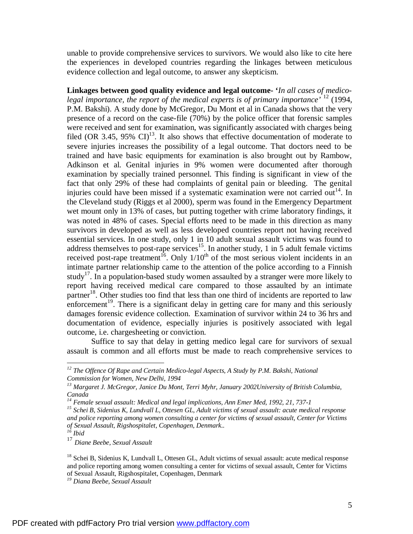unable to provide comprehensive services to survivors. We would also like to cite here the experiences in developed countries regarding the linkages between meticulous evidence collection and legal outcome, to answer any skepticism.

**Linkages between good quality evidence and legal outcome- '***In all cases of medicolegal importance, the report of the medical experts is of primary importance'* <sup>12</sup> (1994, P.M. Bakshi). A study done by McGregor, Du Mont et al in Canada shows that the very presence of a record on the case-file (70%) by the police officer that forensic samples were received and sent for examination, was significantly associated with charges being filed (OR 3.45, 95% CI) $^{13}$ . It also shows that effective documentation of moderate to severe injuries increases the possibility of a legal outcome. That doctors need to be trained and have basic equipments for examination is also brought out by Rambow, Adkinson et al. Genital injuries in 9% women were documented after thorough examination by specially trained personnel. This finding is significant in view of the fact that only 29% of these had complaints of genital pain or bleeding. The genital injuries could have been missed if a systematic examination were not carried out<sup>14</sup>. In the Cleveland study (Riggs et al 2000), sperm was found in the Emergency Department wet mount only in 13% of cases, but putting together with crime laboratory findings, it was noted in 48% of cases. Special efforts need to be made in this direction as many survivors in developed as well as less developed countries report not having received essential services. In one study, only 1 in 10 adult sexual assault victims was found to address themselves to post-rape services<sup>15</sup>. In another study, 1 in 5 adult female victims received post-rape treatment<sup>16</sup>. Only  $1/10<sup>th</sup>$  of the most serious violent incidents in an intimate partner relationship came to the attention of the police according to a Finnish study<sup>17</sup>. In a population-based study women assaulted by a stranger were more likely to report having received medical care compared to those assaulted by an intimate partner<sup>18</sup>. Other studies too find that less than one third of incidents are reported to law enforcement<sup>19</sup>. There is a significant delay in getting care for many and this seriously damages forensic evidence collection. Examination of survivor within 24 to 36 hrs and documentation of evidence, especially injuries is positively associated with legal outcome, i.e. chargesheeting or conviction.

Suffice to say that delay in getting medico legal care for survivors of sexual assault is common and all efforts must be made to reach comprehensive services to

1

*<sup>12</sup> The Offence Of Rape and Certain Medico-legal Aspects, A Study by P.M. Bakshi, National Commission for Women, New Delhi, 1994* 

*<sup>13</sup> Margaret J. McGregor, Janice Du Mont, Terri Myhr, January 2002University of British Columbia, Canada* 

*<sup>14</sup> Female sexual assault: Medical and legal implications, Ann Emer Med, 1992, 21, 737-1* 

*<sup>15</sup> Schei B, Sidenius K, Lundvall L, Ottesen GL, Adult victims of sexual assault: acute medical response and police reporting among women consulting a center for victims of sexual assault, Center for Victims of Sexual Assault, Rigshospitalet, Copenhagen, Denmark..* 

*<sup>16</sup> Ibid* 

<sup>17</sup> *Diane Beebe, Sexual Assault* 

<sup>&</sup>lt;sup>18</sup> Schei B, Sidenius K, Lundvall L, Ottesen GL, Adult victims of sexual assault: acute medical response and police reporting among women consulting a center for victims of sexual assault, Center for Victims of Sexual Assault, Rigshospitalet, Copenhagen, Denmark

*<sup>19</sup> Diana Beebe, Sexual Assault*